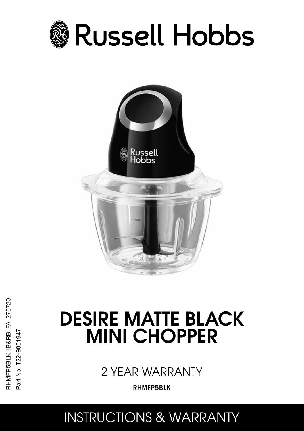



RHMFP5BLK\_IB&RB\_FA\_270720 RHMFP5BLK\_IB&RB\_FA\_270720 Part No. T22-9001947 Part No. T22-9001947

# DESIRE MATTE BLACK MINI CHOPPER

2 YEAR WARRANTY

RHMFP5BLK

INSTRUCTIONS & WARRANTY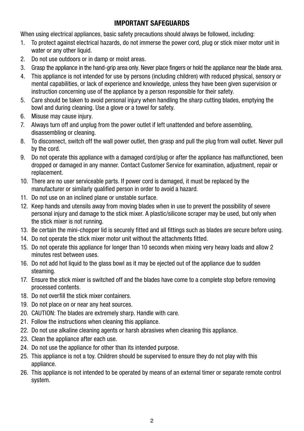## IMPORTANT SAFEGUARDS

When using electrical appliances, basic safety precautions should always be followed, including:

- 1. To protect against electrical hazards, do not immerse the power cord, plug or stick mixer motor unit in water or any other liquid.
- 2. Do not use outdoors or in damp or moist areas.
- 3. Grasp the appliance in the hand-grip area only. Never place fingers or hold the appliance near the blade area.
- 4. This appliance is not intended for use by persons (including children) with reduced physical, sensory or mental capabilities, or lack of experience and knowledge, unless they have been given supervision or instruction concerning use of the appliance by a person responsible for their safety.
- 5. Care should be taken to avoid personal injury when handling the sharp cutting blades, emptying the bowl and during cleaning. Use a glove or a towel for safety.
- 6. Misuse may cause injury.
- 7. Always turn off and unplug from the power outlet if left unattended and before assembling, disassembling or cleaning.
- 8. To disconnect, switch off the wall power outlet, then grasp and pull the plug from wall outlet. Never pull by the cord.
- 9. Do not operate this appliance with a damaged cord/plug or after the appliance has malfunctioned, been dropped or damaged in any manner. Contact Customer Service for examination, adjustment, repair or replacement.
- 10. There are no user serviceable parts. If power cord is damaged, it must be replaced by the manufacturer or similarly qualified person in order to avoid a hazard.
- 11. Do not use on an inclined plane or unstable surface.
- 12. Keep hands and utensils away from moving blades when in use to prevent the possibility of severe personal injury and damage to the stick mixer. A plastic/silicone scraper may be used, but only when the stick mixer is not running.
- 13. Be certain the mini-chopper lid is securely fitted and all fittings such as blades are secure before using.
- 14. Do not operate the stick mixer motor unit without the attachments fitted.
- 15. Do not operate this appliance for longer than 10 seconds when mixing very heavy loads and allow 2 minutes rest between uses.
- 16. Do not add hot liquid to the glass bowl as it may be ejected out of the appliance due to sudden steaming.
- 17. Ensure the stick mixer is switched off and the blades have come to a complete stop before removing processed contents.
- 18. Do not overfill the stick mixer containers.
- 19. Do not place on or near any heat sources.
- 20. CAUTION: The blades are extremely sharp. Handle with care.
- 21. Follow the instructions when cleaning this appliance.
- 22. Do not use alkaline cleaning agents or harsh abrasives when cleaning this appliance.
- 23. Clean the appliance after each use.
- 24. Do not use the appliance for other than its intended purpose.
- 25. This appliance is not a toy. Children should be supervised to ensure they do not play with this appliance.
- 26. This appliance is not intended to be operated by means of an external timer or separate remote control system.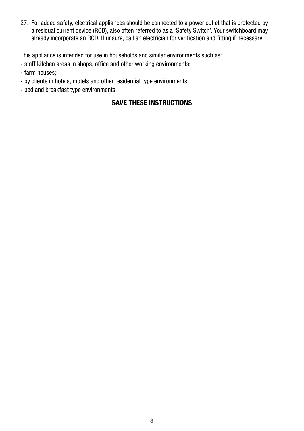27. For added safety, electrical appliances should be connected to a power outlet that is protected by a residual current device (RCD), also often referred to as a 'Safety Switch'. Your switchboard may already incorporate an RCD. If unsure, call an electrician for verification and fitting if necessary.

This appliance is intended for use in households and similar environments such as:

- staff kitchen areas in shops, office and other working environments;
- farm houses;
- by clients in hotels, motels and other residential type environments;
- bed and breakfast type environments.

## SAVE THESE INSTRUCTIONS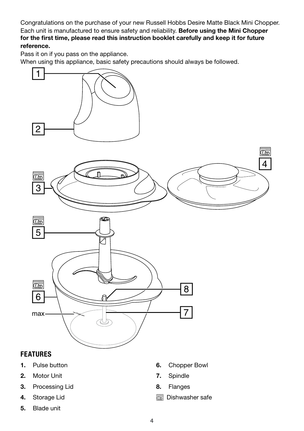Congratulations on the purchase of your new Russell Hobbs Desire Matte Black Mini Chopper. Each unit is manufactured to ensure safety and reliability. Before using the Mini Chopper for the first time, please read this instruction booklet carefully and keep it for future reference.

Pass it on if you pass on the appliance.

When using this appliance, basic safety precautions should always be followed.



## FEATURES

- 1. Pulse button
- 2. Motor Unit
- 3. Processing Lid
- 4. Storage Lid
- 5. Blade unit
- 6. Chopper Bowl
- 7. Spindle
- 8. Flanges
- $\overline{\mathbb{C}\mathbb{C}\mathbb{C}}$  Dishwasher safe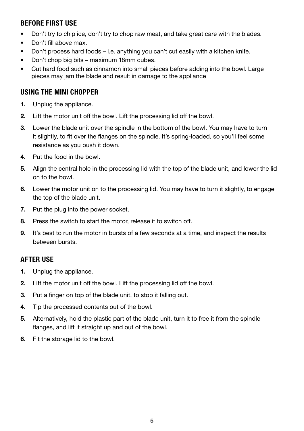## BEFORE FIRST USE

- Don't try to chip ice, don't try to chop raw meat, and take great care with the blades.
- Don't fill above max.
- Don't process hard foods i.e. anything you can't cut easily with a kitchen knife.
- Don't chop big bits maximum 18mm cubes.
- Cut hard food such as cinnamon into small pieces before adding into the bowl. Large pieces may jam the blade and result in damage to the appliance

## USING THE MINI CHOPPER

- 1. Unplug the appliance.
- 2. Lift the motor unit off the bowl. Lift the processing lid off the bowl.
- 3. Lower the blade unit over the spindle in the bottom of the bowl. You may have to turn it slightly, to fit over the flanges on the spindle. It's spring-loaded, so you'll feel some resistance as you push it down.
- 4. Put the food in the bowl.
- 5. Align the central hole in the processing lid with the top of the blade unit, and lower the lid on to the bowl.
- 6. Lower the motor unit on to the processing lid. You may have to turn it slightly, to engage the top of the blade unit.
- 7. Put the plug into the power socket.
- 8. Press the switch to start the motor, release it to switch off.
- 9. It's best to run the motor in bursts of a few seconds at a time, and inspect the results between bursts.

## AFTER USE

- 1. Unplug the appliance.
- 2. Lift the motor unit off the bowl. Lift the processing lid off the bowl.
- 3. Put a finger on top of the blade unit, to stop it falling out.
- 4. Tip the processed contents out of the bowl.
- 5. Alternatively, hold the plastic part of the blade unit, turn it to free it from the spindle flanges, and lift it straight up and out of the bowl.
- 6. Fit the storage lid to the bowl.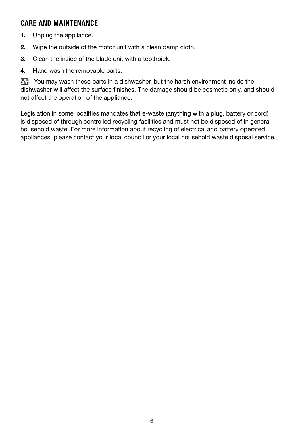## CARE AND MAINTENANCE

- 1. Unplug the appliance.
- 2. Wipe the outside of the motor unit with a clean damp cloth.
- 3. Clean the inside of the blade unit with a toothpick.
- 4. Hand wash the removable parts.

**Fou may wash these parts in a dishwasher, but the harsh environment inside the** dishwasher will affect the surface finishes. The damage should be cosmetic only, and should not affect the operation of the appliance.

Legislation in some localities mandates that e-waste (anything with a plug, battery or cord) is disposed of through controlled recycling facilities and must not be disposed of in general household waste. For more information about recycling of electrical and battery operated appliances, please contact your local council or your local household waste disposal service.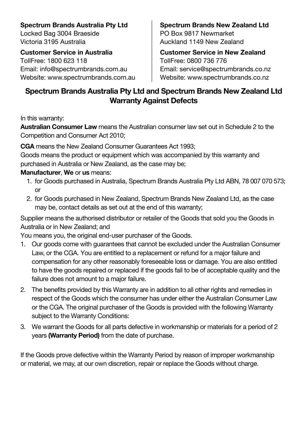**Spectrum Brands Australia Pty Ltd** Locked Bag 3004 Braeside Victoria 3195 Australia

**Customer Service in Australia** TollFree: 1800 623 118 Email: info@spectrumbrands.com.au Website: www.spectrumbrands.com.au **Spectrum Brands New Zealand Ltd** PO Box 9817 Newmarket Auckland 1149 New Zealand

**Customer Service in New Zealand** TollFree: 0800 736 776 Email: service@spectrumbrands.co.nz Website: www.spectrumbrands.co.nz

## **Spectrum Brands Australia Pty Ltd and Spectrum Brands New Zealand Ltd Warranty Against Defects**

In this warranty:

**Australian Consumer Law** means the Australian consumer law set out in Schedule 2 to the Competition and Consumer Act 2010;

**CGA** means the New Zealand Consumer Guarantees Act 1993;

Goods means the product or equipment which was accompanied by this warranty and purchased in Australia or New Zealand, as the case may be;

### **Manufacturer**, **We** or **us** means:

- 1. for Goods purchased in Australia, Spectrum Brands Australia Pty Ltd ABN, 78 007 070 573; or
- 2. for Goods purchased in New Zealand, Spectrum Brands New Zealand Ltd, as the case may be, contact details as set out at the end of this warranty;

Supplier means the authorised distributor or retailer of the Goods that sold you the Goods in Australia or in New Zealand; and

You means you, the original end-user purchaser of the Goods.

- 1. Our goods come with guarantees that cannot be excluded under the Australian Consumer Law, or the CGA. You are entitled to a replacement or refund for a major failure and compensation for any other reasonably foreseeable loss or damage. You are also entitled to have the goods repaired or replaced if the goods fail to be of acceptable quality and the failure does not amount to a major failure.
- 2. The benefits provided by this Warranty are in addition to all other rights and remedies in respect of the Goods which the consumer has under either the Australian Consumer Law or the CGA. The original purchaser of the Goods is provided with the following Warranty subject to the Warranty Conditions:
- 3. We warrant the Goods for all parts defective in workmanship or materials for a period of 2 years **(Warranty Period)** from the date of purchase.

If the Goods prove defective within the Warranty Period by reason of improper workmanship or material, we may, at our own discretion, repair or replace the Goods without charge.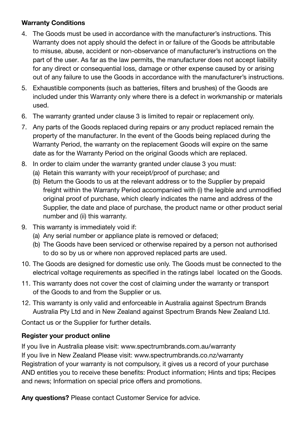### **Warranty Conditions**

- 4. The Goods must be used in accordance with the manufacturer's instructions. This Warranty does not apply should the defect in or failure of the Goods be attributable to misuse, abuse, accident or non-observance of manufacturer's instructions on the part of the user. As far as the law permits, the manufacturer does not accept liability for any direct or consequential loss, damage or other expense caused by or arising out of any failure to use the Goods in accordance with the manufacturer's instructions.
- 5. Exhaustible components (such as batteries, filters and brushes) of the Goods are included under this Warranty only where there is a defect in workmanship or materials used.
- 6. The warranty granted under clause 3 is limited to repair or replacement only.
- 7. Any parts of the Goods replaced during repairs or any product replaced remain the property of the manufacturer. In the event of the Goods being replaced during the Warranty Period, the warranty on the replacement Goods will expire on the same date as for the Warranty Period on the original Goods which are replaced.
- 8. In order to claim under the warranty granted under clause 3 you must:
	- (a) Retain this warranty with your receipt/proof of purchase; and
	- (b) Return the Goods to us at the relevant address or to the Supplier by prepaid freight within the Warranty Period accompanied with (i) the legible and unmodified original proof of purchase, which clearly indicates the name and address of the Supplier, the date and place of purchase, the product name or other product serial number and (ii) this warranty.
- 9. This warranty is immediately void if:
	- (a) Any serial number or appliance plate is removed or defaced;
	- (b) The Goods have been serviced or otherwise repaired by a person not authorised to do so by us or where non approved replaced parts are used.
- 10. The Goods are designed for domestic use only. The Goods must be connected to the electrical voltage requirements as specified in the ratings label located on the Goods.
- 11. This warranty does not cover the cost of claiming under the warranty or transport of the Goods to and from the Supplier or us.
- 12. This warranty is only valid and enforceable in Australia against Spectrum Brands Australia Pty Ltd and in New Zealand against Spectrum Brands New Zealand Ltd.

Contact us or the Supplier for further details.

## **Register your product online**

If you live in Australia please visit: www.spectrumbrands.com.au/warranty If you live in New Zealand Please visit: www.spectrumbrands.co.nz/warranty Registration of your warranty is not compulsory, it gives us a record of your purchase AND entitles you to receive these benefits: Product information; Hints and tips; Recipes and news; Information on special price offers and promotions.

**Any questions?** Please contact Customer Service for advice.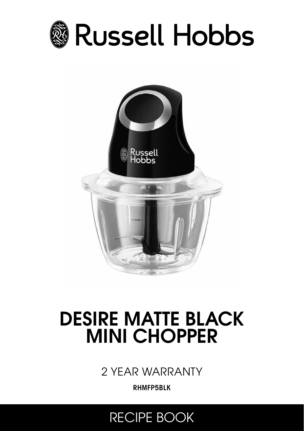



# DESIRE MATTE BLACK MINI CHOPPER

2 YEAR WARRANTY

RHMFP5BLK

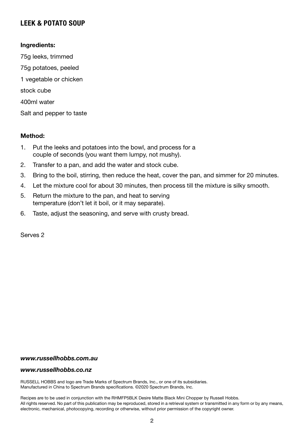## LEEK & POTATO SOUP

#### Ingredients:

75g leeks, trimmed 75g potatoes, peeled 1 vegetable or chicken stock cube 400ml water Salt and pepper to taste

#### Method:

- 1. Put the leeks and potatoes into the bowl, and process for a couple of seconds (you want them lumpy, not mushy).
- 2. Transfer to a pan, and add the water and stock cube.
- 3. Bring to the boil, stirring, then reduce the heat, cover the pan, and simmer for 20 minutes.
- 4. Let the mixture cool for about 30 minutes, then process till the mixture is silky smooth.
- 5. Return the mixture to the pan, and heat to serving temperature (don't let it boil, or it may separate).
- 6. Taste, adjust the seasoning, and serve with crusty bread.

Serves 2

#### *www.russellhobbs.com.au*

#### *www.russellhobbs.co.nz*

RUSSELL HOBBS and logo are Trade Marks of Spectrum Brands, Inc., or one of its subsidiaries. Manufactured in China to Spectrum Brands specifications. ©2020 Spectrum Brands, Inc.

Recipes are to be used in conjunction with the RHMFP5BLK Desire Matte Black Mini Chopper by Russell Hobbs. All rights reserved. No part of this publication may be reproduced, stored in a retrieval system or transmitted in any form or by any means, electronic, mechanical, photocopying, recording or otherwise, without prior permission of the copyright owner.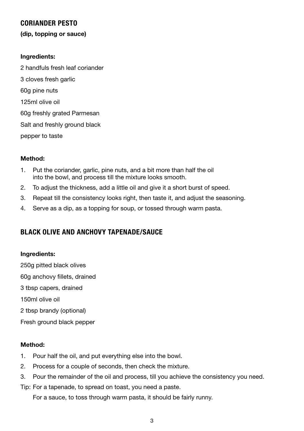## CORIANDER PESTO

#### (dip, topping or sauce)

#### Ingredients:

2 handfuls fresh leaf coriander 3 cloves fresh garlic 60g pine nuts 125ml olive oil 60g freshly grated Parmesan Salt and freshly ground black pepper to taste

#### Method:

- 1. Put the coriander, garlic, pine nuts, and a bit more than half the oil into the bowl, and process till the mixture looks smooth.
- 2. To adjust the thickness, add a little oil and give it a short burst of speed.
- 3. Repeat till the consistency looks right, then taste it, and adjust the seasoning.
- 4. Serve as a dip, as a topping for soup, or tossed through warm pasta.

## BLACK OLIVE AND ANCHOVY TAPENADE/SAUCE

#### Ingredients:

250g pitted black olives 60g anchovy fillets, drained 3 tbsp capers, drained 150ml olive oil 2 tbsp brandy (optional) Fresh ground black pepper

#### Method:

- 1. Pour half the oil, and put everything else into the bowl.
- 2. Process for a couple of seconds, then check the mixture.
- 3. Pour the remainder of the oil and process, till you achieve the consistency you need.
- Tip: For a tapenade, to spread on toast, you need a paste.

For a sauce, to toss through warm pasta, it should be fairly runny.